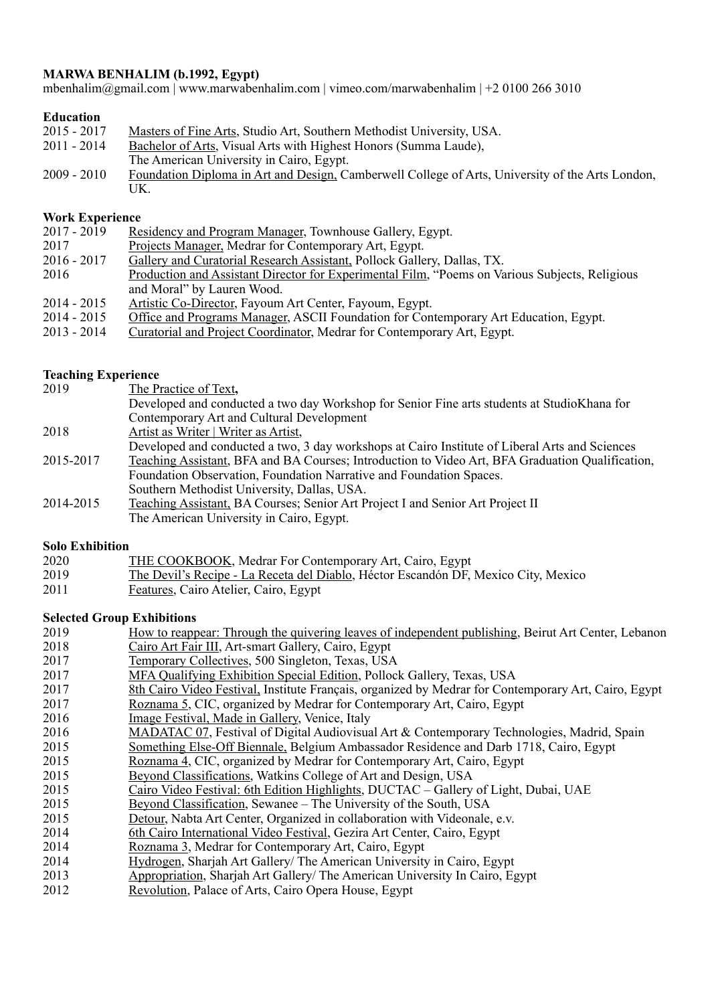# **MARWA BENHALIM (b.1992, Egypt)**

mbenhalim@gmail.com | www.marwabenhalim.com | vimeo.com/marwabenhalim | +2 0100 266 3010

# **Education**

| $2015 - 2017$ | Masters of Fine Arts, Studio Art, Southern Methodist University, USA.                            |
|---------------|--------------------------------------------------------------------------------------------------|
| 2011 - 2014   | Bachelor of Arts, Visual Arts with Highest Honors (Summa Laude),                                 |
|               | The American University in Cairo, Egypt.                                                         |
| $2009 - 2010$ | Foundation Diploma in Art and Design, Camberwell College of Arts, University of the Arts London, |
|               | UK.                                                                                              |

## **Work Experience**

| $2017 - 2019$ | <b>Residency and Program Manager, Townhouse Gallery, Egypt.</b> |  |  |
|---------------|-----------------------------------------------------------------|--|--|
|               |                                                                 |  |  |

- 2017 Projects Manager, Medrar for Contemporary Art, Egypt.
- 2016 2017 Gallery and Curatorial Research Assistant, Pollock Gallery, Dallas, TX.
- 2016 Production and Assistant Director for Experimental Film, "Poems on Various Subjects, Religious and Moral" by Lauren Wood.
- 2014 2015 Artistic Co-Director, Fayoum Art Center, Fayoum, Egypt.
- 2014 2015 Office and Programs Manager, ASCII Foundation for Contemporary Art Education, Egypt.
- 2013 2014 Curatorial and Project Coordinator, Medrar for Contemporary Art, Egypt.

### **Teaching Experience**

| 2019      | The Practice of Text,                                                                            |
|-----------|--------------------------------------------------------------------------------------------------|
|           | Developed and conducted a two day Workshop for Senior Fine arts students at StudioKhana for      |
|           | Contemporary Art and Cultural Development                                                        |
| 2018      | Artist as Writer   Writer as Artist,                                                             |
|           | Developed and conducted a two, 3 day workshops at Cairo Institute of Liberal Arts and Sciences   |
| 2015-2017 | Teaching Assistant, BFA and BA Courses; Introduction to Video Art, BFA Graduation Qualification, |
|           | Foundation Observation, Foundation Narrative and Foundation Spaces.                              |
|           | Southern Methodist University, Dallas, USA.                                                      |
| 2014-2015 | Teaching Assistant, BA Courses; Senior Art Project I and Senior Art Project II                   |
|           | The American University in Cairo, Egypt.                                                         |

### **Solo Exhibition**

| 2020 | <b>THE COOKBOOK, Medrar For Contemporary Art, Cairo, Egypt</b>                     |
|------|------------------------------------------------------------------------------------|
| 2019 | The Devil's Recipe - La Receta del Diablo, Héctor Escandón DF, Mexico City, Mexico |
| 2011 | Eastures Coiro Atolier Coiro Egypt                                                 |

2011 **Features**, Cairo Atelier, Cairo, Egypt

### **Selected Group Exhibitions**

| 2019 | How to reappear: Through the quivering leaves of independent publishing, Beirut Art Center, Lebanon  |
|------|------------------------------------------------------------------------------------------------------|
| 2018 | Cairo Art Fair III, Art-smart Gallery, Cairo, Egypt                                                  |
| 2017 | Temporary Collectives, 500 Singleton, Texas, USA                                                     |
| 2017 | MFA Qualifying Exhibition Special Edition, Pollock Gallery, Texas, USA                               |
| 2017 | 8th Cairo Video Festival, Institute Français, organized by Medrar for Contemporary Art, Cairo, Egypt |
| 2017 | Roznama 5, CIC, organized by Medrar for Contemporary Art, Cairo, Egypt                               |
| 2016 | Image Festival, Made in Gallery, Venice, Italy                                                       |
| 2016 | MADATAC 07, Festival of Digital Audiovisual Art & Contemporary Technologies, Madrid, Spain           |
| 2015 | Something Else-Off Biennale, Belgium Ambassador Residence and Darb 1718, Cairo, Egypt                |
| 2015 | Roznama 4, CIC, organized by Medrar for Contemporary Art, Cairo, Egypt                               |
| 2015 | Beyond Classifications, Watkins College of Art and Design, USA                                       |
| 2015 | Cairo Video Festival: 6th Edition Highlights, DUCTAC - Gallery of Light, Dubai, UAE                  |
| 2015 | Beyond Classification, Sewanee – The University of the South, USA                                    |
| 2015 | Detour, Nabta Art Center, Organized in collaboration with Videonale, e.v.                            |
| 2014 | 6th Cairo International Video Festival, Gezira Art Center, Cairo, Egypt                              |
| 2014 | Roznama 3, Medrar for Contemporary Art, Cairo, Egypt                                                 |
| 2014 | Hydrogen, Sharjah Art Gallery/ The American University in Cairo, Egypt                               |
| 2013 | Appropriation, Sharjah Art Gallery/ The American University In Cairo, Egypt                          |
| 2012 | Revolution, Palace of Arts, Cairo Opera House, Egypt                                                 |